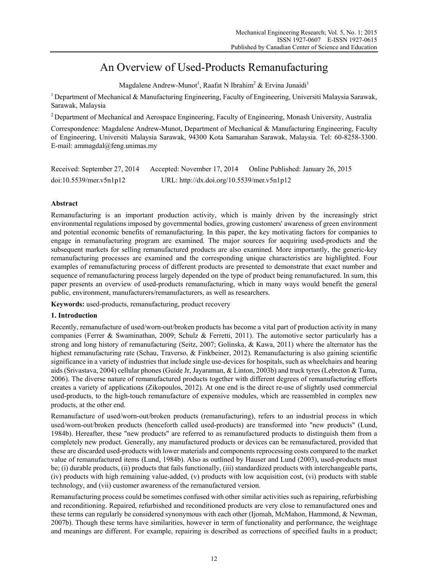# An Overview of Used-Products Remanufacturing

Magdalene Andrew-Munot<sup>1</sup>, Raafat N Ibrahim<sup>2</sup> & Ervina Junaidi<sup>1</sup>

<sup>1</sup> Department of Mechanical & Manufacturing Engineering, Faculty of Engineering, Universiti Malaysia Sarawak, Sarawak, Malaysia

<sup>2</sup> Department of Mechanical and Aerospace Engineering, Faculty of Engineering, Monash University, Australia

Correspondence: Magdalene Andrew-Munot, Department of Mechanical & Manufacturing Engineering, Faculty of Engineering, Universiti Malaysia Sarawak, 94300 Kota Samarahan Sarawak, Malaysia. Tel: 60-8258-3300. E-mail: ammagdal@feng.unimas.my

Received: September 27, 2014 Accepted: November 17, 2014 Online Published: January 26, 2015 doi:10.5539/mer.v5n1p12 URL: http://dx.doi.org/10.5539/mer.v5n1p12

# **Abstract**

Remanufacturing is an important production activity, which is mainly driven by the increasingly strict environmental regulations imposed by governmental bodies, growing customers' awareness of green environment and potential economic benefits of remanufacturing. In this paper, the key motivating factors for companies to engage in remanufacturing program are examined. The major sources for acquiring used-products and the subsequent markets for selling remanufactured products are also examined. More importantly, the generic-key remanufacturing processes are examined and the corresponding unique characteristics are highlighted. Four examples of remanufacturing process of different products are presented to demonstrate that exact number and sequence of remanufacturing process largely depended on the type of product being remanufactured. In sum, this paper presents an overview of used-products remanufacturing, which in many ways would benefit the general public, environment, manufacturers/remanufacturers, as well as researchers.

**Keywords:** used-products, remanufacturing, product recovery

# **1. Introduction**

Recently, remanufacture of used/worn-out/broken products has become a vital part of production activity in many companies (Ferrer & Swaminathan, 2009; Schulz & Ferretti, 2011). The automotive sector particularly has a strong and long history of remanufacturing (Seitz, 2007; Golinska, & Kawa, 2011) where the alternator has the highest remanufacturing rate (Schau, Traverso, & Finkbeiner, 2012). Remanufacturing is also gaining scientific significance in a variety of industries that include single use-devices for hospitals, such as wheelchairs and hearing aids (Srivastava, 2004) cellular phones (Guide Jr, Jayaraman, & Linton, 2003b) and truck tyres (Lebreton & Tuma, 2006). The diverse nature of remanufactured products together with different degrees of remanufacturing efforts creates a variety of applications (Zikopoulos, 2012). At one end is the direct re-use of slightly used commercial used-products, to the high-touch remanufacture of expensive modules, which are reassembled in complex new products, at the other end.

Remanufacture of used/worn-out/broken products (remanufacturing), refers to an industrial process in which used/worn-out/broken products (henceforth called used-products) are transformed into "new products" (Lund, 1984b). Hereafter, these "new products" are referred to as remanufactured products to distinguish them from a completely new product. Generally, any manufactured products or devices can be remanufactured, provided that these are discarded used-products with lower materials and components reprocessing costs compared to the market value of remanufactured items (Lund, 1984b). Also as outlined by Hauser and Lund (2003), used-products must be; (i) durable products, (ii) products that fails functionally, (iii) standardized products with interchangeable parts, (iv) products with high remaining value-added, (v) products with low acquisition cost, (vi) products with stable technology, and (vii) customer awareness of the remanufactured version.

Remanufacturing process could be sometimes confused with other similar activities such as repairing, refurbishing and reconditioning. Repaired, refurbished and reconditioned products are very close to remanufactured ones and these terms can regularly be considered synonymous with each other (Ijomah, McMahon, Hammond, & Newman, 2007b). Though these terms have similarities, however in term of functionality and performance, the weightage and meanings are different. For example, repairing is described as corrections of specified faults in a product;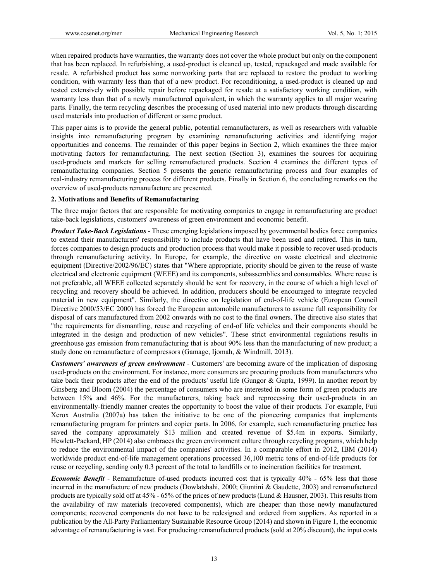when repaired products have warranties, the warranty does not cover the whole product but only on the component that has been replaced. In refurbishing, a used-product is cleaned up, tested, repackaged and made available for resale. A refurbished product has some nonworking parts that are replaced to restore the product to working condition, with warranty less than that of a new product. For reconditioning, a used-product is cleaned up and tested extensively with possible repair before repackaged for resale at a satisfactory working condition, with warranty less than that of a newly manufactured equivalent, in which the warranty applies to all major wearing parts. Finally, the term recycling describes the processing of used material into new products through discarding used materials into production of different or same product.

This paper aims is to provide the general public, potential remanufacturers, as well as researchers with valuable insights into remanufacturing program by examining remanufacturing activities and identifying major opportunities and concerns. The remainder of this paper begins in Section 2, which examines the three major motivating factors for remanufacturing. The next section (Section 3), examines the sources for acquiring used-products and markets for selling remanufactured products. Section 4 examines the different types of remanufacturing companies. Section 5 presents the generic remanufacturing process and four examples of real-industry remanufacturing process for different products. Finally in Section 6, the concluding remarks on the overview of used-products remanufacture are presented.

#### **2. Motivations and Benefits of Remanufacturing**

The three major factors that are responsible for motivating companies to engage in remanufacturing are product take-back legislations, customers' awareness of green environment and economic benefit.

*Product Take-Back Legislations* - These emerging legislations imposed by governmental bodies force companies to extend their manufacturers' responsibility to include products that have been used and retired. This in turn, forces companies to design products and production process that would make it possible to recover used-products through remanufacturing activity. In Europe, for example, the directive on waste electrical and electronic equipment (Directive/2002/96/EC) states that "Where appropriate, priority should be given to the reuse of waste electrical and electronic equipment (WEEE) and its components, subassemblies and consumables. Where reuse is not preferable, all WEEE collected separately should be sent for recovery, in the course of which a high level of recycling and recovery should be achieved. In addition, producers should be encouraged to integrate recycled material in new equipment". Similarly, the directive on legislation of end-of-life vehicle (European Council Directive 2000/53/EC 2000) has forced the European automobile manufacturers to assume full responsibility for disposal of cars manufactured from 2002 onwards with no cost to the final owners. The directive also states that "the requirements for dismantling, reuse and recycling of end-of life vehicles and their components should be integrated in the design and production of new vehicles". These strict environmental regulations results in greenhouse gas emission from remanufacturing that is about 90% less than the manufacturing of new product; a study done on remanufacture of compressors (Gamage, Ijomah, & Windmill, 2013).

*Customers' awareness of green environment* - Customers' are becoming aware of the implication of disposing used-products on the environment. For instance, more consumers are procuring products from manufacturers who take back their products after the end of the products' useful life (Gungor & Gupta, 1999). In another report by Ginsberg and Bloom (2004) the percentage of consumers who are interested in some form of green products are between 15% and 46%. For the manufacturers, taking back and reprocessing their used-products in an environmentally-friendly manner creates the opportunity to boost the value of their products. For example, Fuji Xerox Australia (2007a) has taken the initiative to be one of the pioneering companies that implements remanufacturing program for printers and copier parts. In 2006, for example, such remanufacturing practice has saved the company approximately \$13 million and created revenue of \$5.4m in exports. Similarly, Hewlett-Packard, HP (2014) also embraces the green environment culture through recycling programs, which help to reduce the environmental impact of the companies' activities. In a comparable effort in 2012, IBM (2014) worldwide product end-of-life management operations processed 36,100 metric tons of end-of-life products for reuse or recycling, sending only 0.3 percent of the total to landfills or to incineration facilities for treatment.

*Economic Benefit* - Remanufacture of-used products incurred cost that is typically 40% - 65% less that those incurred in the manufacture of new products (Dowlatshahi, 2000; Giuntini & Gaudette, 2003) and remanufactured products are typically sold off at 45% - 65% of the prices of new products (Lund & Hausner, 2003). This results from the availability of raw materials (recovered components), which are cheaper than those newly manufactured components; recovered components do not have to be redesigned and ordered from suppliers. As reported in a publication by the All-Party Parliamentary Sustainable Resource Group (2014) and shown in Figure 1, the economic advantage of remanufacturing is vast. For producing remanufactured products (sold at 20% discount), the input costs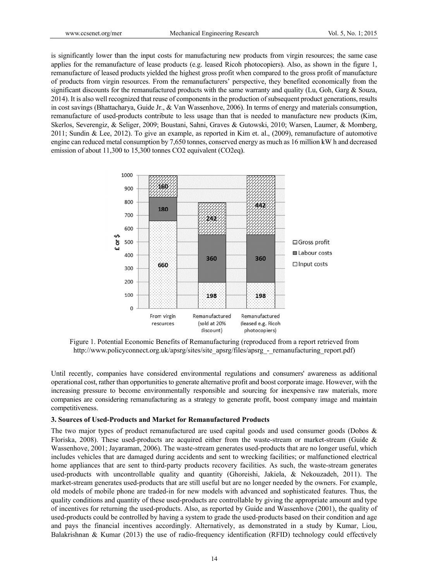www.ccsenet.org/mer Mechanical Engineering Research Vol. 5, No. 1; 2015<br>is significantly lower than the input costs for manufacturing new products from virgin resources; the same case applies for the remanufacture of lease products (e.g. leased Ricoh photocopiers). Also, as shown in the figure 1, remanufacture of leased products yielded the highest gross profit when compared to the gross profit of manufacture of products from virgin resources. From the remanufacturers' perspective, they benefited economically from the significant discounts for the remanufactured products with the same warranty and quality (Lu, Goh, Garg  $\&$  Souza, 2014). It is also well recognized that reuse of components in the production of subsequent product generations, results in cost savings (Bhattacharya, Guide Jr., & Van Wassenhove, 2006). In terms of energy and materials consumption, remanufacture of used-products contribute to less usage than that is needed to manufacture new products (Kim, Skerlos, Severengiz, & Seliger, 2009; Boustani, Sahni, Graves & Gutowski, 2010; Warsen, Laumer, & Momberg, 2011; Sundin & Lee, 2012). To give an example, as reported in Kim et. al., (2009), remanufacture of automotive engine can reduced metal consumption by 7,650 tonnes, conserved energy as much as 16 million kW h and decreased emission of about  $11,300$  to  $15,300$  tonnes CO2 equivalent (CO2eq).



Figure 1. Potential Economic Benefits of Remanufacturing (reproduced from a report retrieved from http://www.policyconnect.org.uk/apsrg/sites/site\_apsrg/files/apsrg\_-\_remanufacturing\_report.pdf)

Until recently, companies have considered environmental regulations and consumers' awareness as additional operational cost, rather than opportunities to generate alternative profit and boost corporate image. However, with the increasing pressure to become environmentally responsible and sourcing for inexpensive raw materials, more companies are considering remanufacturing as a strategy to generate profit, boost company image and maintain competitiveness.

#### **3. Sources of Used-Products and Market for Remanufactured Products**

The two major types of product remanufactured are used capital goods and used consumer goods (Dobos  $\&$ Floriska, 2008). These used-products are acquired either from the waste-stream or market-stream (Guide  $\&$ Wassenhove, 2001; Jayaraman, 2006). The waste-stream generates used-products that are no longer useful, which includes vehicles that are damaged during accidents and sent to wrecking facilities; or malfunctioned electrical home appliances that are sent to third-party products recovery facilities. As such, the waste-stream generates used-products with uncontrollable quality and quantity (Ghoreishi, Jakiela, & Nekouzadeh, 2011). The market-stream generates used-products that are still useful but are no longer needed by the owners. For example, old models of mobile phone are traded-in for new models with advanced and sophisticated features. Thus, the quality conditions and quantity of these used-products are controllable by giving the appropriate amount and type of incentives for returning the used-products. Also, as reported by Guide and Wassenhove (2001), the quality of used-products could be controlled by having a system to grade the used-products based on their condition and age and pays the financial incentives accordingly. Alternatively, as demonstrated in a study by Kumar, Liou, Balakrishnan & Kumar (2013) the use of radio-frequency identification (RFID) technology could effectively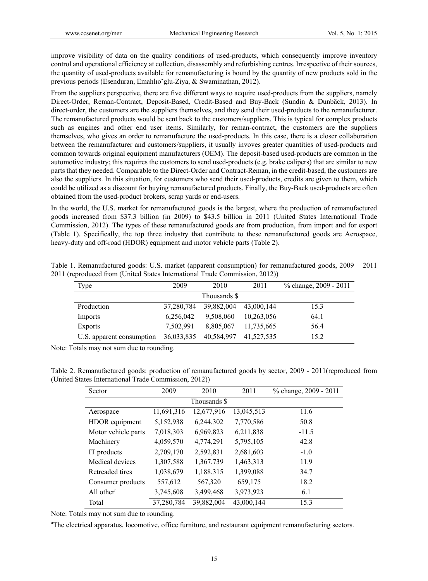improve visibility of data on the quality conditions of used-products, which consequently improve inventory control and operational efficiency at collection, disassembly and refurbishing centres. Irrespective of their sources, the quantity of used-products available for remanufacturing is bound by the quantity of new products sold in the previous periods (Esenduran, Emahlıo˘glu-Ziya, & Swaminathan, 2012).

From the suppliers perspective, there are five different ways to acquire used-products from the suppliers, namely Direct-Order, Reman-Contract, Deposit-Based, Credit-Based and Buy-Back (Sundin & Dunbäck, 2013). In direct-order, the customers are the suppliers themselves, and they send their used-products to the remanufacturer. The remanufactured products would be sent back to the customers/suppliers. This is typical for complex products such as engines and other end user items. Similarly, for reman-contract, the customers are the suppliers themselves, who gives an order to remanufacture the used-products. In this case, there is a closer collaboration between the remanufacturer and customers/suppliers, it usually invoves greater quantities of used-products and common towards original equipment manufacturers (OEM). The deposit-based used-products are common in the automotive industry; this requires the customers to send used-products (e.g. brake calipers) that are similar to new parts that they needed. Comparable to the Direct-Order and Contract-Reman, in the credit-based, the customers are also the suppliers. In this situation, for customers who send their used-products, credits are given to them, which could be utilized as a discount for buying remanufactured products. Finally, the Buy-Back used-products are often obtained from the used-product brokers, scrap yards or end-users.

In the world, the U.S. market for remanufactured goods is the largest, where the production of remanufactured goods increased from \$37.3 billion (in 2009) to \$43.5 billion in 2011 (United States International Trade Commission, 2012). The types of these remanufactured goods are from production, from import and for export (Table 1). Specifically, the top three industry that contribute to these remanufactured goods are Aerospace, heavy-duty and off-road (HDOR) equipment and motor vehicle parts (Table 2).

| Type                      | 2009         | 2010       | 2011       | % change, 2009 - 2011 |  |  |
|---------------------------|--------------|------------|------------|-----------------------|--|--|
|                           | Thousands \$ |            |            |                       |  |  |
| Production                | 37,280,784   | 39.882,004 | 43,000,144 | 15.3                  |  |  |
| Imports                   | 6,256,042    | 9,508,060  | 10,263,056 | 64.1                  |  |  |
| Exports                   | 7,502,991    | 8,805,067  | 11,735,665 | 56.4                  |  |  |
| U.S. apparent consumption | 36,033,835   | 40,584,997 | 41,527,535 | 15.2                  |  |  |

Table 1. Remanufactured goods: U.S. market (apparent consumption) for remanufactured goods, 2009 – 2011 2011 (reproduced from (United States International Trade Commission, 2012))

Note: Totals may not sum due to rounding.

Table 2. Remanufactured goods: production of remanufactured goods by sector, 2009 - 2011(reproduced from (United States International Trade Commission, 2012))

| Sector                              | 2009       | 2010         | 2011       | % change, 2009 - 2011 |
|-------------------------------------|------------|--------------|------------|-----------------------|
|                                     |            | Thousands \$ |            |                       |
| Aerospace                           | 11,691,316 | 12,677,916   | 13,045,513 | 11.6                  |
| HDOR equipment                      | 5,152,938  | 6,244,302    | 7,770,586  | 50.8                  |
| Motor vehicle parts                 | 7,018,303  | 6,969,823    | 6,211,838  | $-11.5$               |
| Machinery                           | 4,059,570  | 4,774,291    | 5,795,105  | 42.8                  |
| IT products                         | 2,709,170  | 2,592,831    | 2,681,603  | $-1.0$                |
| Medical devices                     | 1,307,588  | 1,367,739    | 1,463,313  | 11.9                  |
| Retreaded tires                     | 1,038,679  | 1,188,315    | 1,399,088  | 34.7                  |
| Consumer products                   | 557,612    | 567,320      | 659,175    | 18.2                  |
| All other <sup><math>a</math></sup> | 3,745,608  | 3,499,468    | 3,973,923  | 6.1                   |
| Total                               | 37,280,784 | 39,882,004   | 43,000,144 | 15.3                  |

Note: Totals may not sum due to rounding.

<sup>a</sup>The electrical apparatus, locomotive, office furniture, and restaurant equipment remanufacturing sectors.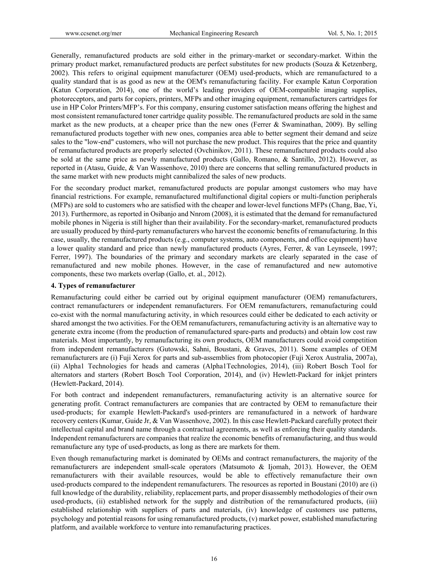Generally, remanufactured products are sold either in the primary-market or secondary-market. Within the primary product market, remanufactured products are perfect substitutes for new products (Souza & Ketzenberg, 2002). This refers to original equipment manufacturer (OEM) used-products, which are remanufactured to a quality standard that is as good as new at the OEM's remanufacturing facility. For example Katun Corporation (Katun Corporation, 2014), one of the world's leading providers of OEM-compatible imaging supplies, photoreceptors, and parts for copiers, printers, MFPs and other imaging equipment, remanufacturers cartridges for use in HP Color Printers/MFP's. For this company, ensuring customer satisfaction means offering the highest and most consistent remanufactured toner cartridge quality possible. The remanufactured products are sold in the same market as the new products, at a cheaper price than the new ones (Ferrer & Swaminathan, 2009). By selling remanufactured products together with new ones, companies area able to better segment their demand and seize sales to the "low-end" customers, who will not purchase the new product. This requires that the price and quantity of remanufactured products are properly selected (Ovchinikov, 2011). These remanufactured products could also be sold at the same price as newly manufactured products (Gallo, Romano, & Santillo, 2012). However, as reported in (Atasu, Guide, & Van Wassenhove, 2010) there are concerns that selling remanufactured products in the same market with new products might cannibalized the sales of new products.

For the secondary product market, remanufactured products are popular amongst customers who may have financial restrictions. For example, remanufactured multifunctional digital copiers or multi-function peripherals (MFPs) are sold to customers who are satisfied with the cheaper and lower-level functions MFPs (Chang, Bae, Yi, 2013). Furthermore, as reported in Osibanjo and Nnrom (2008), it is estimated that the demand for remanufactured mobile phones in Nigeria is still higher than their availability. For the secondary-market, remanufactured products are usually produced by third-party remanufacturers who harvest the economic benefits of remanufacturing. In this case, usually, the remanufactured products (e.g., computer systems, auto components, and office equipment) have a lower quality standard and price than newly manufactured products (Ayres, Ferrer, & van Leynseele, 1997; Ferrer, 1997). The boundaries of the primary and secondary markets are clearly separated in the case of remanufactured and new mobile phones. However, in the case of remanufactured and new automotive components, these two markets overlap (Gallo, et. al., 2012).

#### **4. Types of remanufacturer**

Remanufacturing could either be carried out by original equipment manufacturer (OEM) remanufacturers, contract remanufacturers or independent remanufacturers. For OEM remanufacturers, remanufacturing could co-exist with the normal manufacturing activity, in which resources could either be dedicated to each activity or shared amongst the two activities. For the OEM remanufacturers, remanufacturing activity is an alternative way to generate extra income (from the production of remanufactured spare-parts and products) and obtain low cost raw materials. Most importantly, by remanufacturing its own products, OEM manufacturers could avoid competition from independent remanufacturers (Gutowski, Sahni, Boustani, & Graves, 2011). Some examples of OEM remanufacturers are (i) Fuji Xerox for parts and sub-assemblies from photocopier (Fuji Xerox Australia, 2007a), (ii) Alpha1 Technologies for heads and cameras (Alpha1Technologies, 2014), (iii) Robert Bosch Tool for alternators and starters (Robert Bosch Tool Corporation, 2014), and (iv) Hewlett-Packard for inkjet printers (Hewlett-Packard, 2014).

For both contract and independent remanufacturers, remanufacturing activity is an alternative source for generating profit. Contract remanufacturers are companies that are contracted by OEM to remanufacture their used-products; for example Hewlett-Packard's used-printers are remanufactured in a network of hardware recovery centers (Kumar, Guide Jr, & Van Wassenhove, 2002). In this case Hewlett-Packard carefully protect their intellectual capital and brand name through a contractual agreements, as well as enforcing their quality standards. Independent remanufacturers are companies that realize the economic benefits of remanufacturing, and thus would remanufacture any type of used-products, as long as there are markets for them.

Even though remanufacturing market is dominated by OEMs and contract remanufacturers, the majority of the remanufacturers are independent small-scale operators (Matsumoto & Ijomah, 2013). However, the OEM remanufacturers with their available resources, would be able to effectively remanufacture their own used-products compared to the independent remanufacturers. The resources as reported in Boustani (2010) are (i) full knowledge of the durability, reliability, replacement parts, and proper disassembly methodologies of their own used-products, (ii) established network for the supply and distribution of the remanufactured products, (iii) established relationship with suppliers of parts and materials, (iv) knowledge of customers use patterns, psychology and potential reasons for using remanufactured products, (v) market power, established manufacturing platform, and available workforce to venture into remanufacturing practices.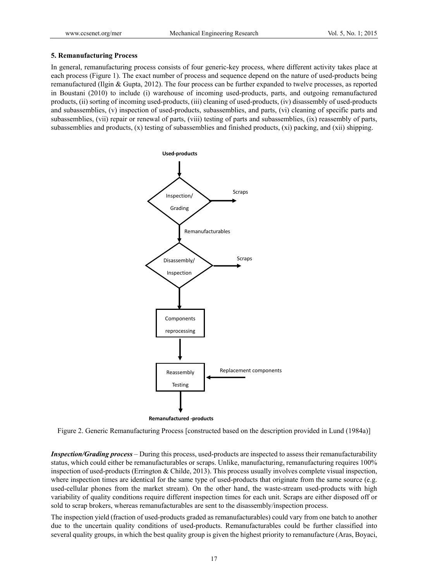#### **5. Remanufacturing Process**

In general, remanufacturing process consists of four generic-key process, where different activity takes place at each process (Figure 1). The exact number of process and sequence depend on the nature of used-products being remanufactured (Ilgin & Gupta, 2012). The four process can be further expanded to twelve processes, as reported in Boustani (2010) to include (i) warehouse of incoming used-products, parts, and outgoing remanufactured products, (ii) sorting of incoming used-products, (iii) cleaning of used-products, (iv) disassembly of used-products and subassemblies, (v) inspection of used-products, subassemblies, and parts, (vi) cleaning of specific parts and subassemblies, (vii) repair or renewal of parts, (viii) testing of parts and subassemblies, (ix) reassembly of parts, subassemblies and products, (x) testing of subassemblies and finished products, (xi) packing, and (xii) shipping.



Figure 2. Generic Remanufacturing Process [constructed based on the description provided in Lund (1984a)]

*Inspection/Grading process* – During this process, used-products are inspected to assess their remanufacturability status, which could either be remanufacturables or scraps. Unlike, manufacturing, remanufacturing requires 100% inspection of used-products (Errington & Childe, 2013). This process usually involves complete visual inspection, where inspection times are identical for the same type of used-products that originate from the same source (e.g. used-cellular phones from the market stream). On the other hand, the waste-stream used-products with high variability of quality conditions require different inspection times for each unit. Scraps are either disposed off or sold to scrap brokers, whereas remanufacturables are sent to the disassembly/inspection process.

The inspection yield (fraction of used-products graded as remanufacturables) could vary from one batch to another due to the uncertain quality conditions of used-products. Remanufacturables could be further classified into several quality groups, in which the best quality group is given the highest priority to remanufacture (Aras, Boyaci,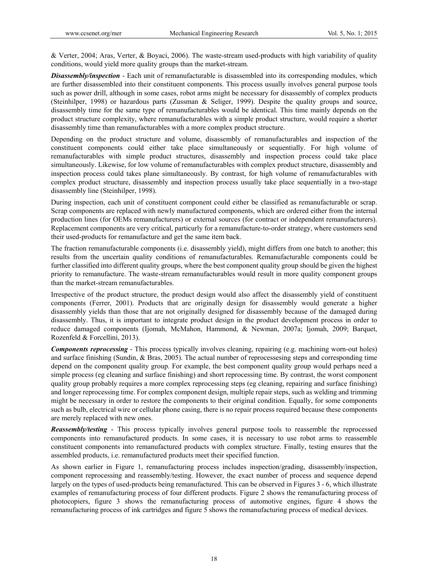& Verter, 2004; Aras, Verter, & Boyaci, 2006). The waste-stream used-products with high variability of quality conditions, would yield more quality groups than the market-stream.

*Disassembly/inspection* - Each unit of remanufacturable is disassembled into its corresponding modules, which are further disassembled into their constituent components. This process usually involves general purpose tools such as power drill, although in some cases, robot arms might be necessary for disassembly of complex products (Steinhilper, 1998) or hazardous parts (Zussman & Seliger, 1999). Despite the quality groups and source, disassembly time for the same type of remanufacturables would be identical. This time mainly depends on the product structure complexity, where remanufacturables with a simple product structure, would require a shorter disassembly time than remanufacturables with a more complex product structure.

Depending on the product structure and volume, disassembly of remanufacturables and inspection of the constituent components could either take place simultaneously or sequentially. For high volume of remanufacturables with simple product structures, disassembly and inspection process could take place simultaneously. Likewise, for low volume of remanufacturables with complex product structure, disassembly and inspection process could takes plane simultaneously. By contrast, for high volume of remanufacturables with complex product structure, disassembly and inspection process usually take place sequentially in a two-stage disassembly line (Steinhilper, 1998).

During inspection, each unit of constituent component could either be classified as remanufacturable or scrap. Scrap components are replaced with newly manufactured components, which are ordered either from the internal production lines (for OEMs remanufacturers) or external sources (for contract or independent remanufacturers). Replacement components are very critical, particurly for a remanufacture-to-order strategy, where customers send their used-products for remanufacture and get the same item back.

The fraction remanufacturable components (i.e. disassembly yield), might differs from one batch to another; this results from the uncertain quality conditions of remanufacturables. Remanufacturable components could be further classified into different quality groups, where the best component quality group should be given the highest priority to remanufacture. The waste-stream remanufacturables would result in more quality component groups than the market-stream remanufacturables.

Irrespective of the product structure, the product design would also affect the disassembly yield of constituent components (Ferrer, 2001). Products that are originally design for disassembly would generate a higher disassembly yields than those that are not originally designed for disassembly because of the damaged during disassembly. Thus, it is important to integrate product design in the product development process in order to reduce damaged components (Ijomah, McMahon, Hammond, & Newman, 2007a; Ijomah, 2009; Barquet, Rozenfeld & Forcellini, 2013).

*Components reprocessing* - This process typically involves cleaning, repairing (e.g. machining worn-out holes) and surface finishing (Sundin, & Bras, 2005). The actual number of reprocessesing steps and corresponding time depend on the component quality group. For example, the best component quality group would perhaps need a simple process (eg cleaning and surface finishing) and short reprocessing time. By contrast, the worst component quality group probably requires a more complex reprocessing steps (eg cleaning, repairing and surface finishing) and longer reprocessing time. For complex component design, multiple repair steps, such as welding and trimming might be necessary in order to restore the components to their original condition. Equally, for some components such as bulb, electrical wire or cellular phone casing, there is no repair process required because these components are merely replaced with new ones.

*Reassembly/testing* - This process typically involves general purpose tools to reassemble the reprocessed components into remanufactured products. In some cases, it is necessary to use robot arms to reassemble constituent components into remanufactured products with complex structure. Finally, testing ensures that the assembled products, i.e. remanufactured products meet their specified function.

As shown earlier in Figure 1, remanufacturing process includes inspection/grading, disassembly/inspection, component reprocessing and reassembly/testing. However, the exact number of process and sequence depend largely on the types of used-products being remanufactured. This can be observed in Figures 3 - 6, which illustrate examples of remanufacturing process of four different products. Figure 2 shows the remanufacturing process of photocopiers, figure 3 shows the remanufacturing process of automotive engines, figure 4 shows the remanufacturing process of ink cartridges and figure 5 shows the remanufacturing process of medical devices.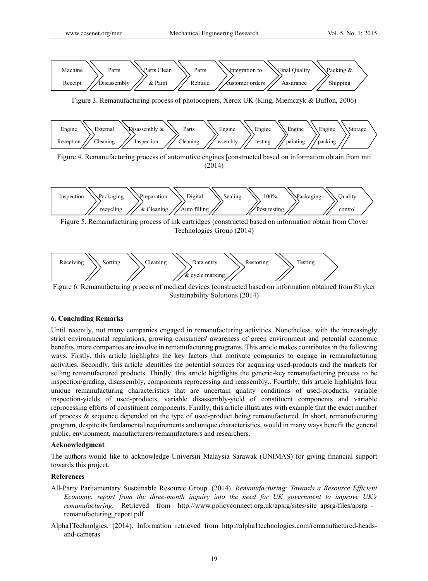

Figure 6. Remanufacturing process of medical devices (constructed based on information obtained from Stryker Sustainability Solutions (2014)

& cycle marking

# **6. Concluding Remarks**

Until recently, not many companies engaged in remanufacturing activities. Nonetheless, with the increasingly strict environmental regulations, growing consumers' awareness of green environment and potential economic benefits, more companies are involve in remanufacturing programs. This article makes contributes in the following ways. Firstly, this article highlights the key factors that motivate companies to engage in remanufacturing activities. Secondly, this article identifies the potential sources for acquiring used-products and the markets for selling remanufactured products. Thirdly, this article highlights the generic-key remanufacturing process to be inspection/grading, disassembly, components reprocessing and reassembly.. Fourthly, this article highlights four unique remanufacturing characteristics that are uncertain quality conditions of used-products, variable inspection-yields of used-products, variable disassembly-yield of constituent components and variable reprocessing efforts of constituent components. Finally, this article illustrates with example that the exact number of process & sequence depended on the type of used-product being remanufactured. In short, remanufacturing program, despite its fundamental requirements and unique characteristics, would in many ways benefit the general public, environment, manufacturers/remanufacturers and researchers.

## **Acknowledgment**

The authors would like to acknowledge Universiti Malaysia Sarawak (UNIMAS) for giving financial support towards this project.

## **References**

- All-Party Parliamentary Sustainable Resource Group. (2014). *Remanufacturing: Towards a Resource Efficient Economy: report from the three-month inquiry into the need for UK government to improve UK's remanufacturing.* Retrieved from http://www.policyconnect.org.uk/apsrg/sites/site\_apsrg/files/apsrg\_remanufacturing\_report.pdf
- Alpha1Technolgies. (2014). Information retrieved from http://alpha1technologies.com/remanufactured-headsand-cameras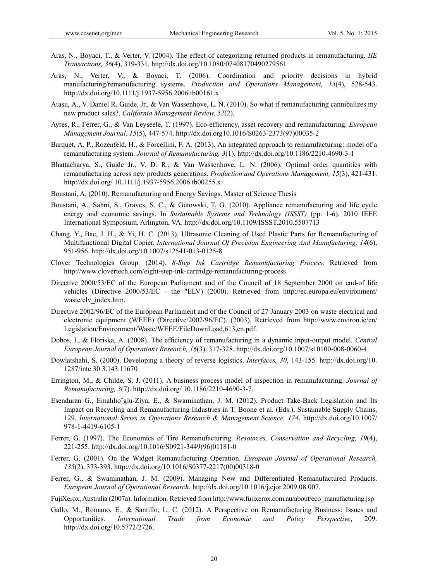- Aras, N., Boyaci, T., & Verter, V. (2004). The effect of categorizing returned products in remanufacturing. *IIE Transactions, 36*(4), 319-331. http://dx.doi.org/10.1080/07408170490279561
- Aras, N., Verter, V., & Boyaci, T. (2006). Coordination and priority decisions in hybrid manufacturing/remanufacturing systems. *Production and Operations Management, 15*(4), 528-543. http://dx.doi.org/10.1111/j.1937-5956.2006.tb00161.x
- Atasu, A., V. Daniel R. Guide, Jr., & Van Wassenhove, L. N. (2010). So what if remanufacturing cannibalizes my new product sales?. *California Management Review, 52*(2).
- Ayres, R., Ferrer, G., & Van Leyseele, T. (1997). Eco-efficiency, asset recovery and remanufacturing. *European Management Journal, 15*(5), 447-574. http://dx.doi.org10.1016/S0263-2373(97)00035-2
- Barquet, A. P., Rozenfeld, H., & Forcellini, F. A. (2013). An integrated approach to remanufacturing: model of a remanufacturing system. *Journal of Remanufacturing, 3*(1). http://dx.doi.org/10.1186/2210-4690-3-1
- Bhattacharya, S., Guide Jr., V. D. R., & Van Wassenhove, L. N. (2006). Optimal order quantities with remanufacturing across new products generations. *Production and Operations Management, 15*(3), 421-431. http://dx.doi.org/ 10.1111/j.1937-5956.2006.tb00255.x
- Boustani, A. (2010). Remanufacturing and Energy Savings. Master of Science Thesis
- Boustani, A., Sahni, S., Graves, S. C., & Gutowski, T. G. (2010). Appliance remanufacturing and life cycle energy and economic savings. In *Sustainable Systems and Technology (ISSST)* (pp. 1-6). 2010 IEEE International Symposium, Arlington, VA. http://dx.doi.org/10.1109/ISSST.2010.5507713
- Chang, Y., Bae, J. H., & Yi, H. C. (2013). Ultrasonic Cleaning of Used Plastic Parts for Remanufacturing of Multifunctional Digital Copier. *International Journal Of Precision Engineering And Manufacturing, 14*(6), 951-956. http://dx.doi.org/10.1007/s12541-013-0125-8
- Clover Technologies Group. (2014). *8-Step Ink Cartridge Remanufacturing Process*. Retrieved from http://www.clovertech.com/eight-step-ink-cartridge-remanufacturing-process
- Directive 2000/53/EC of the European Parliament and of the Council of 18 September 2000 on end-of life vehicles (Directive 2000/53/EC - the "ELV) (2000). Retrieved from http://ec.europa.eu/environment/ waste/elv\_index.htm.
- Directive 2002/96/EC of the European Parliament and of the Council of 27 January 2003 on waste electrical and electronic equipment (WEEE) (Directive/2002/96/EC). (2003). Retrieved from http://www.environ.ie/en/ Legislation/Environment/Waste/WEEE/FileDownLoad,613,en.pdf.
- Dobos, I., & Floriska, A. (2008). The efficiency of remanufacturing in a dynamic input-output model. *Central European Journal of Operations Research, 16*(3), 317-328. http://dx.doi.org/10.1007/s10100-008-0060-4.
- Dowlatshahi, S. (2000). Developing a theory of reverse logistics. *Interfaces, 30*, 143-155. http://dx.doi.org/10. 1287/inte.30.3.143.11670
- Errington, M., & Childe, S. J. (2011). A business process model of inspection in remanufacturing. *Journal of Remanufacturing, 3*(7). http://dx.doi.org/ 10.1186/2210-4690-3-7.
- Esenduran G., Emahlıo˘glu-Ziya, E., & Swaminathan, J. M. (2012). Product Take-Back Legislation and Its Impact on Recycling and Remanufacturing Industries in T. Boone et al. (Eds.), Sustainable Supply Chains, 129. *International Series in Operations Research & Management Science, 174*. http://dx.doi.org/10.1007/ 978-1-4419-6105-1
- Ferrer, G. (1997). The Economics of Tire Remanufacturing. *Resources, Conservation and Recycling, 19*(4), 221-255. http://dx.doi.org/10.1016/S0921-3449(96)01181-0
- Ferrer, G. (2001). On the Widget Remanufacturing Operation. *European Journal of Operational Research, 135*(2), 373-393. http://dx.doi.org/10.1016/S0377-2217(00)00318-0
- Ferrer, G., & Swaminathan, J. M. (2009). Managing New and Differentiated Remanufactured Products. *European Journal of Operational Research*. http://dx.doi.org/10.1016/j.ejor.2009.08.007.

FujiXerox, Australia (2007a). Information. Retrieved from http://www.fujixerox.com.au/about/eco\_manufacturing.jsp

Gallo, M., Romano, E., & Santillo, L. C. (2012). A Perspective on Remanufacturing Business: Issues and Opportunities. *International Trade from Economic and Policy Perspective*, 209. http://dx.doi.org/10.5772/2726.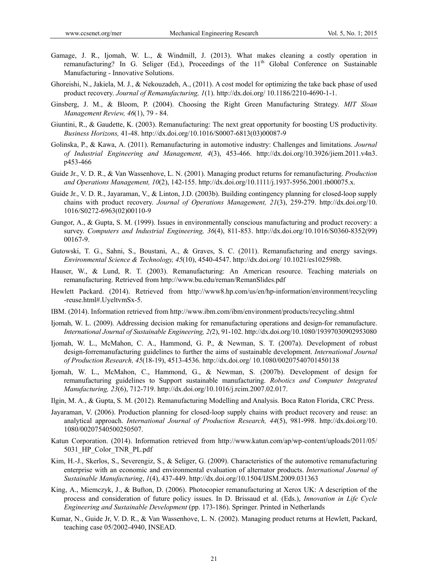- Gamage, J. R., Ijomah, W. L., & Windmill, J. (2013). What makes cleaning a costly operation in remanufacturing? In G. Seliger (Ed.), Proceedings of the 11<sup>th</sup> Global Conference on Sustainable Manufacturing - Innovative Solutions.
- Ghoreishi, N., Jakiela, M. J., & Nekouzadeh, A., (2011). A cost model for optimizing the take back phase of used product recovery. *Journal of Remanufacturing, 1*(1). http://dx.doi.org/ 10.1186/2210-4690-1-1.
- Ginsberg, J. M., & Bloom, P. (2004). Choosing the Right Green Manufacturing Strategy. *MIT Sloan Management Review, 46*(1), 79 - 84.
- Giuntini, R., & Gaudette, K. (2003). Remanufacturing: The next great opportunity for boosting US productivity. *Business Horizons,* 41-48. http://dx.doi.org/10.1016/S0007-6813(03)00087-9
- Golinska, P., & Kawa, A. (2011). Remanufacturing in automotive industry: Challenges and limitations. *Journal of Industrial Engineering and Management, 4*(3), 453-466. http://dx.doi.org/10.3926/jiem.2011.v4n3. p453-466
- Guide Jr., V. D. R., & Van Wassenhove, L. N. (2001). Managing product returns for remanufacturing. *Production and Operations Management, 10*(2), 142-155. http://dx.doi.org/10.1111/j.1937-5956.2001.tb00075.x.
- Guide Jr., V. D. R., Jayaraman, V., & Linton, J.D. (2003b). Building contingency planning for closed-loop supply chains with product recovery. *Journal of Operations Management, 21*(3), 259-279. http://dx.doi.org/10. 1016/S0272-6963(02)00110-9
- Gungor, A., & Gupta, S. M. (1999). Issues in environmentally conscious manufacturing and product recovery: a survey. *Computers and Industrial Engineering, 36*(4), 811-853. http://dx.doi.org/10.1016/S0360-8352(99) 00167-9.
- Gutowski, T. G., Sahni, S., Boustani, A., & Graves, S. C. (2011). Remanufacturing and energy savings. *Environmental Science & Technology, 45*(10), 4540-4547. http://dx.doi.org/ 10.1021/es102598b.
- Hauser, W., & Lund, R. T. (2003). Remanufacturing: An American resource. Teaching materials on remanufacturing. Retrieved from http://www.bu.edu/reman/RemanSlides.pdf
- Hewlett Packard. (2014). Retrieved from http://www8.hp.com/us/en/hp-information/environment/recycling -reuse.html#.UyeltvmSx-5.
- IBM. (2014). Information retrieved from http://www.ibm.com/ibm/environment/products/recycling.shtml
- Ijomah, W. L. (2009). Addressing decision making for remanufacturing operations and design-for remanufacture. *International Journal of Sustainable Engineering, 2(*2), 91-102. http://dx.doi.org/10.1080/19397030902953080
- Ijomah, W. L., McMahon, C. A., Hammond, G. P., & Newman, S. T. (2007a). Development of robust design-forremanufacturing guidelines to further the aims of sustainable development. *International Journal of Production Research, 45*(18-19), 4513-4536. http://dx.doi.org/ 10.1080/00207540701450138
- Ijomah, W. L., McMahon, C., Hammond, G., & Newman, S. (2007b). Development of design for remanufacturing guidelines to Support sustainable manufacturing. *Robotics and Computer Integrated Manufacturing, 23*(6), 712-719. http://dx.doi.org/10.1016/j.rcim.2007.02.017.
- Ilgin, M. A., & Gupta, S. M. (2012). Remanufacturing Modelling and Analysis. Boca Raton Florida, CRC Press.
- Jayaraman, V. (2006). Production planning for closed-loop supply chains with product recovery and reuse: an analytical approach. *International Journal of Production Research, 44*(5), 981-998. http://dx.doi.org/10. 1080/00207540500250507.
- Katun Corporation. (2014). Information retrieved from http://www.katun.com/ap/wp-content/uploads/2011/05/ 5031\_HP\_Color\_TNR\_PL.pdf
- Kim, H.-J., Skerlos, S., Severengiz, S., & Seliger, G. (2009). Characteristics of the automotive remanufacturing enterprise with an economic and environmental evaluation of alternator products. *International Journal of Sustainable Manufacturing*, *1*(4), 437-449. http://dx.doi.org/10.1504/IJSM.2009.031363
- King, A., Miemczyk, J., & Bufton, D. (2006). Photocopier remanufacturing at Xerox UK: A description of the process and consideration of future policy issues. In D. Brissaud et al. (Eds.), *Innovation in Life Cycle Engineering and Sustainable Development* (pp. 173-186). Springer. Printed in Netherlands
- Kumar, N., Guide Jr, V. D. R., & Van Wassenhove, L. N. (2002). Managing product returns at Hewlett, Packard, teaching case 05/2002-4940, INSEAD.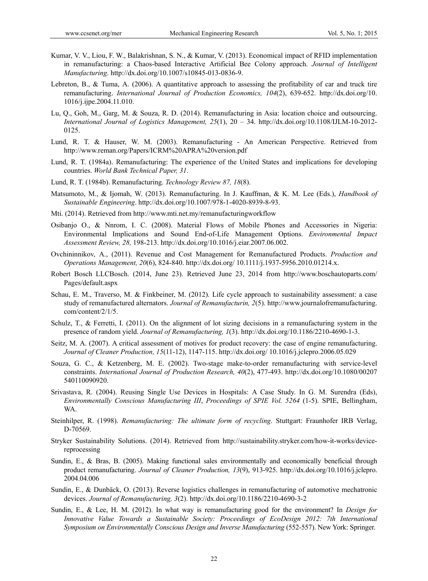- Kumar, V. V., Liou, F. W., Balakrishnan, S. N., & Kumar, V. (2013). Economical impact of RFID implementation in remanufacturing: a Chaos-based Interactive Artificial Bee Colony approach. *Journal of Intelligent Manufacturing*. http://dx.doi.org/10.1007/s10845-013-0836-9.
- Lebreton, B., & Tuma, A. (2006). A quantitative approach to assessing the profitability of car and truck tire remanufacturing. *International Journal of Production Economics, 104*(2), 639-652. http://dx.doi.org/10. 1016/j.ijpe.2004.11.010.
- Lu, Q., Goh, M., Garg, M. & Souza, R. D. (2014). Remanufacturing in Asia: location choice and outsourcing. *International Journal of Logistics Management, 25*(1), 20 – 34. http://dx.doi.org/10.1108/IJLM-10-2012- 0125.
- Lund, R. T. & Hauser, W. M. (2003). Remanufacturing An American Perspective. Retrieved from http://www.reman.org/Papers/ICRM%20APRA%20version.pdf
- Lund, R. T. (1984a). Remanufacturing: The experience of the United States and implications for developing countries. *World Bank Technical Paper, 31*.
- Lund, R. T. (1984b). Remanufacturing. *Technology Review 87, 18*(8).
- Matsumoto, M., & Ijomah, W. (2013). Remanufacturing. In J. Kauffman, & K. M. Lee (Eds.), *Handbook of Sustainable Engineering*. http://dx.doi.org/10.1007/978-1-4020-8939-8-93.
- Mti. (2014). Retrieved from http://www.mti.net.my/remanufacturingworkflow
- Osibanjo O., & Nnrom, I. C. (2008). Material Flows of Mobile Phones and Accessories in Nigeria: Environmental Implications and Sound End-of-Life Management Options. *Environmental Impact Assessment Review, 28,* 198-213. http://dx.doi.org/10.1016/j.eiar.2007.06.002.
- Ovchininnikov, A., (2011). Revenue and Cost Management for Remanufactured Products. *Production and Operations Management, 20*(6), 824-840. http://dx.doi.org/ 10.1111/j.1937-5956.2010.01214.x.
- Robert Bosch LLCBosch. (2014, June 23). Retrieved June 23, 2014 from http://www.boschautoparts.com/ Pages/default.aspx
- Schau, E. M., Traverso, M. & Finkbeiner, M. (2012). Life cycle approach to sustainability assessment: a case study of remanufactured alternators. *Journal of Remanufacturin, 2*(5). http://www.journalofremanufacturing. com/content/2/1/5.
- Schulz, T., & Ferretti, I. (2011). On the alignment of lot sizing decisions in a remanufacturing system in the presence of random yield. *Journal of Remanufacturing, 1*(3). http://dx.doi.org/10.1186/2210-4690-1-3.
- Seitz, M. A. (2007). A critical assessment of motives for product recovery: the case of engine remanufacturing. *Journal of Cleaner Production, 15*(11-12), 1147-115. http://dx.doi.org/ 10.1016/j.jclepro.2006.05.029
- Souza, G. C., & Ketzenberg, M. E. (2002). Two-stage make-to-order remanufacturing with service-level constraints. *International Journal of Production Research, 40*(2), 477-493. http://dx.doi.org/10.1080/00207 540110090920.
- Srivastava, R. (2004). Reusing Single Use Devices in Hospitals: A Case Study. In G. M. Surendra (Eds), *Environmentally Conscious Manufacturing III*, *Proceedings of SPIE Vol. 5264* (1-5). SPIE, Bellingham, WA.
- Steinhilper, R. (1998). *Remanufacturing: The ultimate form of recycling*. Stuttgart: Fraunhofer IRB Verlag, D-70569.
- Stryker Sustainability Solutions. (2014). Retrieved from http://sustainability.stryker.com/how-it-works/devicereprocessing
- Sundin, E., & Bras, B. (2005). Making functional sales environmentally and economically beneficial through product remanufacturing. *Journal of Cleaner Production, 13*(9), 913-925. http://dx.doi.org/10.1016/j.jclepro. 2004.04.006
- Sundin, E., & Dunbäck, O. (2013). Reverse logistics challenges in remanufacturing of automotive mechatronic devices. *Journal of Remanufacturing, 3*(2). http://dx.doi.org/10.1186/2210-4690-3-2
- Sundin, E., & Lee, H. M. (2012). In what way is remanufacturing good for the environment? In *Design for Innovative Value Towards a Sustainable Society: Proceedings of EcoDesign 2012: 7th International Symposium on Environmentally Conscious Design and Inverse Manufacturing* (552-557). New York: Springer.